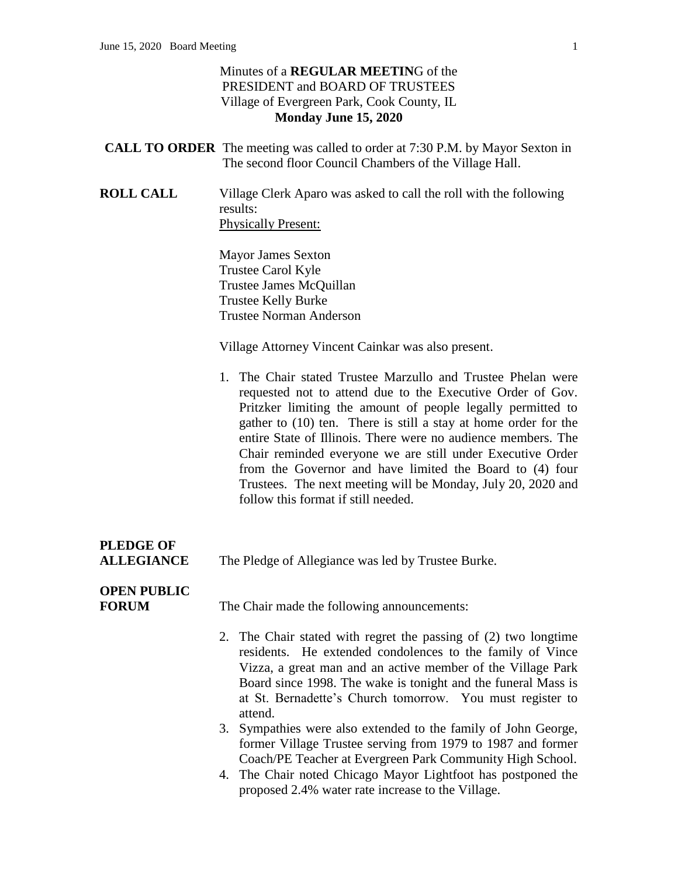#### Minutes of a **REGULAR MEETIN**G of the PRESIDENT and BOARD OF TRUSTEES Village of Evergreen Park, Cook County, IL **Monday June 15, 2020**

|                  | <b>CALL TO ORDER</b> The meeting was called to order at 7:30 P.M. by Mayor Sexton in                                                                                                                                                                                                                                                                                                                                                                                                                                                                           |
|------------------|----------------------------------------------------------------------------------------------------------------------------------------------------------------------------------------------------------------------------------------------------------------------------------------------------------------------------------------------------------------------------------------------------------------------------------------------------------------------------------------------------------------------------------------------------------------|
|                  | The second floor Council Chambers of the Village Hall.                                                                                                                                                                                                                                                                                                                                                                                                                                                                                                         |
| <b>ROLL CALL</b> | Village Clerk Aparo was asked to call the roll with the following<br>results:                                                                                                                                                                                                                                                                                                                                                                                                                                                                                  |
|                  | <b>Physically Present:</b>                                                                                                                                                                                                                                                                                                                                                                                                                                                                                                                                     |
|                  | <b>Mayor James Sexton</b>                                                                                                                                                                                                                                                                                                                                                                                                                                                                                                                                      |
|                  | Trustee Carol Kyle                                                                                                                                                                                                                                                                                                                                                                                                                                                                                                                                             |
|                  | Trustee James McQuillan                                                                                                                                                                                                                                                                                                                                                                                                                                                                                                                                        |
|                  | <b>Trustee Kelly Burke</b>                                                                                                                                                                                                                                                                                                                                                                                                                                                                                                                                     |
|                  | <b>Trustee Norman Anderson</b>                                                                                                                                                                                                                                                                                                                                                                                                                                                                                                                                 |
|                  | Village Attorney Vincent Cainkar was also present.                                                                                                                                                                                                                                                                                                                                                                                                                                                                                                             |
|                  | 1. The Chair stated Trustee Marzullo and Trustee Phelan were<br>requested not to attend due to the Executive Order of Gov.<br>Pritzker limiting the amount of people legally permitted to<br>gather to (10) ten. There is still a stay at home order for the<br>entire State of Illinois. There were no audience members. The<br>Chair reminded everyone we are still under Executive Order<br>from the Governor and have limited the Board to (4) four<br>Trustees. The next meeting will be Monday, July 20, 2020 and<br>follow this format if still needed. |
| PLEDGE OF        |                                                                                                                                                                                                                                                                                                                                                                                                                                                                                                                                                                |

**ALLEGIANCE** The Pledge of Allegiance was led by Trustee Burke.

## **OPEN PUBLIC**

**FORUM** The Chair made the following announcements:

- 2. The Chair stated with regret the passing of (2) two longtime residents. He extended condolences to the family of Vince Vizza, a great man and an active member of the Village Park Board since 1998. The wake is tonight and the funeral Mass is at St. Bernadette's Church tomorrow. You must register to attend.
- 3. Sympathies were also extended to the family of John George, former Village Trustee serving from 1979 to 1987 and former Coach/PE Teacher at Evergreen Park Community High School.
- 4. The Chair noted Chicago Mayor Lightfoot has postponed the proposed 2.4% water rate increase to the Village.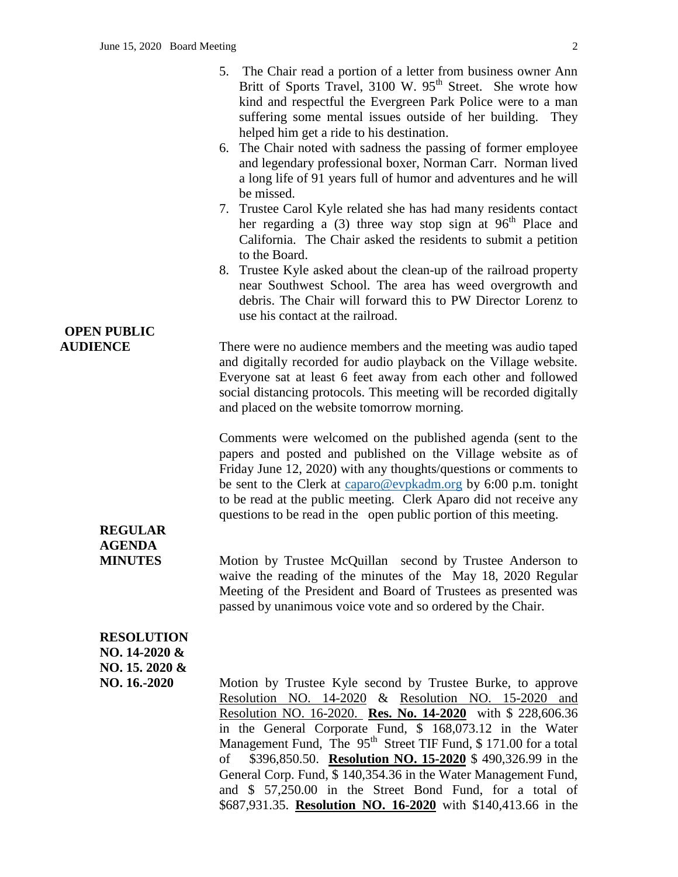|                                                                      | 5. The Chair read a portion of a letter from business owner Ann<br>Britt of Sports Travel, 3100 W. 95 <sup>th</sup> Street. She wrote how<br>kind and respectful the Evergreen Park Police were to a man<br>suffering some mental issues outside of her building. They<br>helped him get a ride to his destination.<br>6. The Chair noted with sadness the passing of former employee<br>and legendary professional boxer, Norman Carr. Norman lived<br>a long life of 91 years full of humor and adventures and he will<br>be missed.<br>7. Trustee Carol Kyle related she has had many residents contact<br>her regarding a (3) three way stop sign at $96th$ Place and<br>California. The Chair asked the residents to submit a petition<br>to the Board.<br>8. Trustee Kyle asked about the clean-up of the railroad property<br>near Southwest School. The area has weed overgrowth and<br>debris. The Chair will forward this to PW Director Lorenz to<br>use his contact at the railroad. |
|----------------------------------------------------------------------|--------------------------------------------------------------------------------------------------------------------------------------------------------------------------------------------------------------------------------------------------------------------------------------------------------------------------------------------------------------------------------------------------------------------------------------------------------------------------------------------------------------------------------------------------------------------------------------------------------------------------------------------------------------------------------------------------------------------------------------------------------------------------------------------------------------------------------------------------------------------------------------------------------------------------------------------------------------------------------------------------|
| <b>OPEN PUBLIC</b><br><b>AUDIENCE</b>                                | There were no audience members and the meeting was audio taped<br>and digitally recorded for audio playback on the Village website.<br>Everyone sat at least 6 feet away from each other and followed<br>social distancing protocols. This meeting will be recorded digitally<br>and placed on the website tomorrow morning.                                                                                                                                                                                                                                                                                                                                                                                                                                                                                                                                                                                                                                                                     |
| <b>REGULAR</b>                                                       | Comments were welcomed on the published agenda (sent to the<br>papers and posted and published on the Village website as of<br>Friday June 12, 2020) with any thoughts/questions or comments to<br>be sent to the Clerk at caparo@evpkadm.org by 6:00 p.m. tonight<br>to be read at the public meeting. Clerk Aparo did not receive any<br>questions to be read in the open public portion of this meeting.                                                                                                                                                                                                                                                                                                                                                                                                                                                                                                                                                                                      |
| <b>AGENDA</b><br><b>MINUTES</b>                                      | Motion by Trustee McQuillan second by Trustee Anderson to<br>waive the reading of the minutes of the May 18, 2020 Regular<br>Meeting of the President and Board of Trustees as presented was<br>passed by unanimous voice vote and so ordered by the Chair.                                                                                                                                                                                                                                                                                                                                                                                                                                                                                                                                                                                                                                                                                                                                      |
| <b>RESOLUTION</b><br>NO. 14-2020 &<br>NO. 15. 2020 &<br>NO. 16.-2020 | Motion by Trustee Kyle second by Trustee Burke, to approve<br>Resolution NO. 14-2020 & Resolution NO. 15-2020<br>and<br>Resolution NO. 16-2020. Res. No. 14-2020 with \$ 228,606.36<br>in the General Corporate Fund, \$ 168,073.12 in the Water<br>Management Fund, The 95 <sup>th</sup> Street TIF Fund, \$171.00 for a total<br>\$396,850.50. Resolution NO. 15-2020 \$490,326.99 in the<br>of<br>General Corp. Fund, \$ 140,354.36 in the Water Management Fund,                                                                                                                                                                                                                                                                                                                                                                                                                                                                                                                             |

and \$ 57,250.00 in the Street Bond Fund, for a total of \$687,931.35. **Resolution NO. 16-2020** with \$140,413.66 in the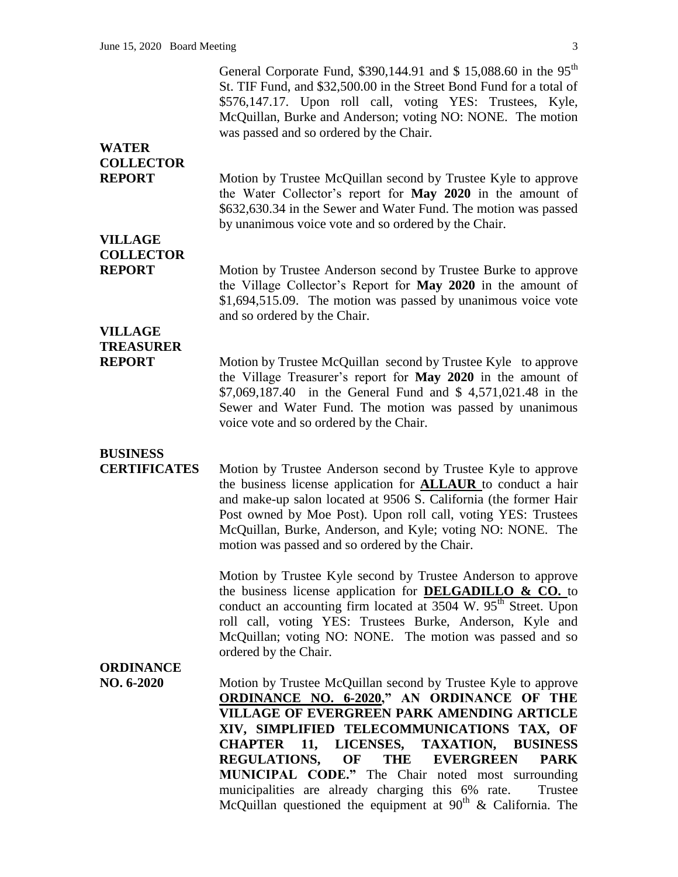General Corporate Fund, \$390,144.91 and \$ 15,088.60 in the 95<sup>th</sup> St. TIF Fund, and \$32,500.00 in the Street Bond Fund for a total of \$576,147.17. Upon roll call, voting YES: Trustees, Kyle, McQuillan, Burke and Anderson; voting NO: NONE. The motion was passed and so ordered by the Chair.

## **WATER COLLECTOR**

**REPORT** Motion by Trustee McQuillan second by Trustee Kyle to approve the Water Collector's report for **May 2020** in the amount of \$632,630.34 in the Sewer and Water Fund. The motion was passed by unanimous voice vote and so ordered by the Chair.

## **VILLAGE COLLECTOR**

**REPORT** Motion by Trustee Anderson second by Trustee Burke to approve the Village Collector's Report for **May 2020** in the amount of \$1,694,515.09. The motion was passed by unanimous voice vote and so ordered by the Chair.

## **VILLAGE TREASURER**

**REPORT** Motion by Trustee McQuillan second by Trustee Kyle to approve the Village Treasurer's report for **May 2020** in the amount of \$7,069,187.40 in the General Fund and \$ 4,571,021.48 in the Sewer and Water Fund. The motion was passed by unanimous voice vote and so ordered by the Chair.

# **BUSINESS**

**CERTIFICATES** Motion by Trustee Anderson second by Trustee Kyle to approve the business license application for **ALLAUR** to conduct a hair and make-up salon located at 9506 S. California (the former Hair Post owned by Moe Post). Upon roll call, voting YES: Trustees McQuillan, Burke, Anderson, and Kyle; voting NO: NONE. The motion was passed and so ordered by the Chair.

> Motion by Trustee Kyle second by Trustee Anderson to approve the business license application for **DELGADILLO & CO.** to conduct an accounting firm located at  $3504 \text{ W}$ .  $95^{\text{th}}$  Street. Upon roll call, voting YES: Trustees Burke, Anderson, Kyle and McQuillan; voting NO: NONE. The motion was passed and so ordered by the Chair.

### **ORDINANCE**

**NO. 6-2020** Motion by Trustee McQuillan second by Trustee Kyle to approve **ORDINANCE NO. 6-2020," AN ORDINANCE OF THE VILLAGE OF EVERGREEN PARK AMENDING ARTICLE XIV, SIMPLIFIED TELECOMMUNICATIONS TAX, OF CHAPTER 11, LICENSES, TAXATION, BUSINESS REGULATIONS, OF THE EVERGREEN PARK MUNICIPAL CODE."** The Chair noted most surrounding municipalities are already charging this 6% rate. Trustee McQuillan questioned the equipment at  $90<sup>th</sup>$  & California. The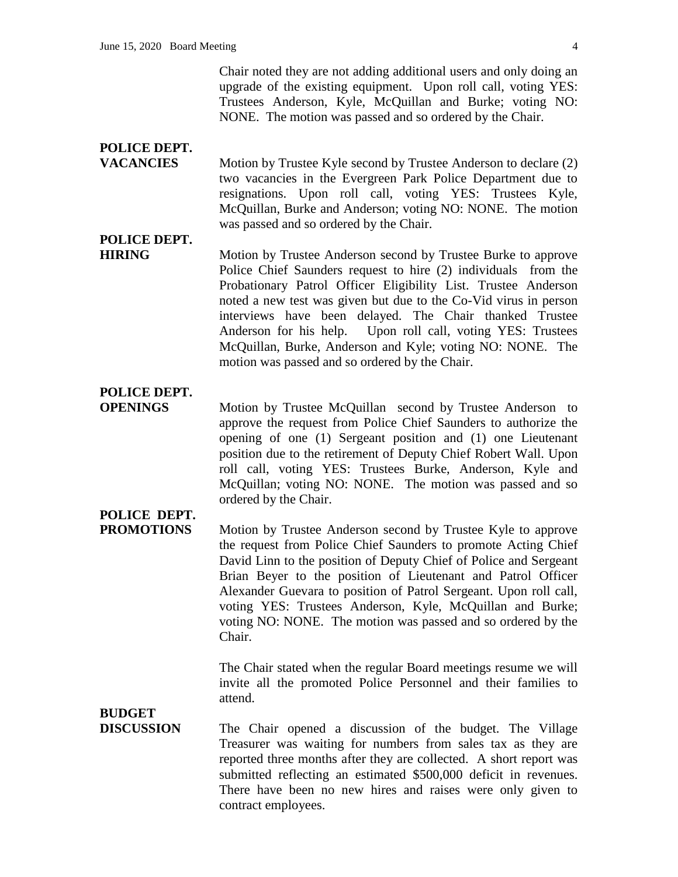Chair noted they are not adding additional users and only doing an upgrade of the existing equipment. Upon roll call, voting YES: Trustees Anderson, Kyle, McQuillan and Burke; voting NO: NONE. The motion was passed and so ordered by the Chair.

### **POLICE DEPT.**

**VACANCIES** Motion by Trustee Kyle second by Trustee Anderson to declare (2) two vacancies in the Evergreen Park Police Department due to resignations. Upon roll call, voting YES: Trustees Kyle, McQuillan, Burke and Anderson; voting NO: NONE. The motion was passed and so ordered by the Chair.

## **POLICE DEPT.**

**HIRING** Motion by Trustee Anderson second by Trustee Burke to approve Police Chief Saunders request to hire (2) individuals from the Probationary Patrol Officer Eligibility List. Trustee Anderson noted a new test was given but due to the Co-Vid virus in person interviews have been delayed. The Chair thanked Trustee Anderson for his help. Upon roll call, voting YES: Trustees McQuillan, Burke, Anderson and Kyle; voting NO: NONE. The motion was passed and so ordered by the Chair.

### **POLICE DEPT.**

**OPENINGS** Motion by Trustee McQuillan second by Trustee Anderson to approve the request from Police Chief Saunders to authorize the opening of one (1) Sergeant position and (1) one Lieutenant position due to the retirement of Deputy Chief Robert Wall. Upon roll call, voting YES: Trustees Burke, Anderson, Kyle and McQuillan; voting NO: NONE. The motion was passed and so ordered by the Chair.

# **POLICE DEPT.**

**PROMOTIONS** Motion by Trustee Anderson second by Trustee Kyle to approve the request from Police Chief Saunders to promote Acting Chief David Linn to the position of Deputy Chief of Police and Sergeant Brian Beyer to the position of Lieutenant and Patrol Officer Alexander Guevara to position of Patrol Sergeant. Upon roll call, voting YES: Trustees Anderson, Kyle, McQuillan and Burke; voting NO: NONE. The motion was passed and so ordered by the Chair.

> The Chair stated when the regular Board meetings resume we will invite all the promoted Police Personnel and their families to attend.

**BUDGET**

**DISCUSSION** The Chair opened a discussion of the budget. The Village Treasurer was waiting for numbers from sales tax as they are reported three months after they are collected. A short report was submitted reflecting an estimated \$500,000 deficit in revenues. There have been no new hires and raises were only given to contract employees.